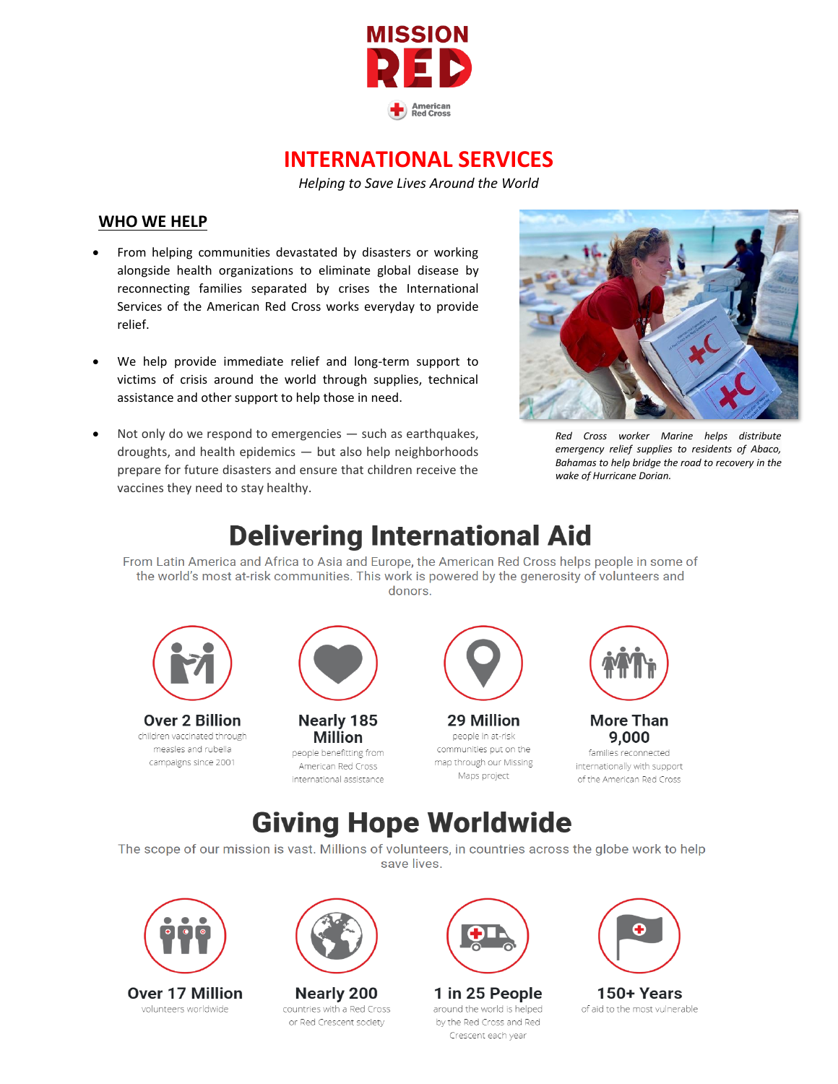

### **INTERNATIONAL SERVICES**

*Helping to Save Lives Around the World*

#### **WHO WE HELP**

- From helping communities devastated by disasters or working alongside health organizations to eliminate global disease by reconnecting families separated by crises the International Services of the American Red Cross works everyday to provide relief.
- We help provide immediate relief and long-term support to victims of crisis around the world through supplies, technical assistance and other support to help those in need.
- Not only do we respond to emergencies  $-$  such as earthquakes, droughts, and health epidemics — but also help neighborhoods prepare for future disasters and ensure that children receive the vaccines they need to stay healthy.



*Red Cross worker Marine helps distribute emergency relief supplies to residents of Abaco, Bahamas to help bridge the road to recovery in the wake of Hurricane Dorian.*

## **Delivering International Aid**

From Latin America and Africa to Asia and Europe, the American Red Cross helps people in some of the world's most at-risk communities. This work is powered by the generosity of volunteers and donors.



**Over 2 Billion** children vaccinated through measles and rubella campaigns since 2001



**Nearly 185 Million** people benefitting from American Red Cross international assistance



29 Million people in at-risk communities put on the map through our Missing Maps project



**More Than** 9.000

families reconnected internationally with support of the American Red Cross

## **Giving Hope Worldwide**

The scope of our mission is vast. Millions of volunteers, in countries across the globe work to help save lives.



**Over 17 Million** volunteers worldwide



**Nearly 200** countries with a Red Cross or Red Crescent society



1 in 25 People around the world is helped by the Red Cross and Red Crescent each year



150+ Years of aid to the most vulnerable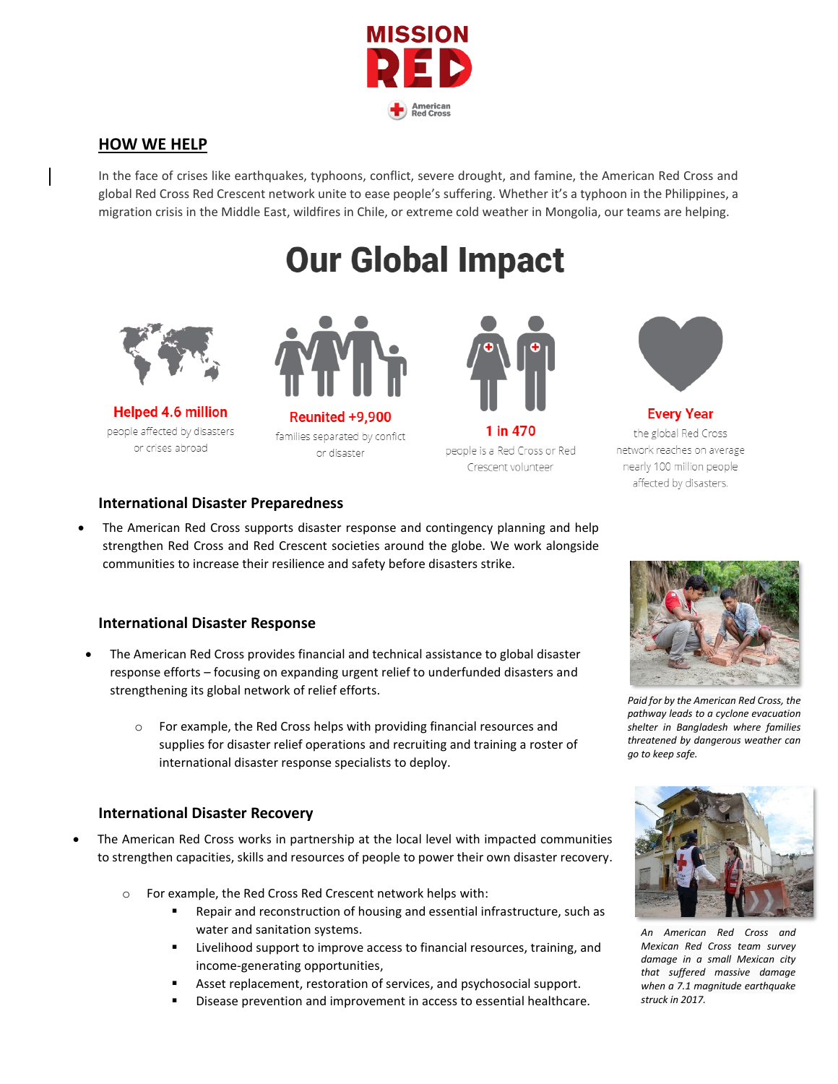

#### **HOW WE HELP**

In the face of crises like earthquakes, typhoons, conflict, severe drought, and famine, the American Red Cross and global Red Cross Red Crescent network unite to ease people's suffering. Whether it's a typhoon in the Philippines, a migration crisis in the Middle East, wildfires in Chile, or extreme cold weather in Mongolia, our teams are helping.

# **Our Global Impact**



**Helped 4.6 million** people affected by disasters or crises abroad



Reunited +9.900 families separated by confict or disaster



1 in 470 people is a Red Cross or Red Crescent volunteer



**Every Year** the global Red Cross network reaches on average nearly 100 million people affected by disasters.

#### **International Disaster Preparedness**

• The American Red Cross supports disaster response and contingency planning and help strengthen Red Cross and Red Crescent societies around the globe. We work alongside communities to increase their resilience and safety before disasters strike.

#### **International Disaster Response**

- The American Red Cross provides financial and technical assistance to global disaster response efforts – focusing on expanding urgent relief to underfunded disasters and strengthening its global network of relief efforts.
	- o For example, the Red Cross helps with providing financial resources and supplies for disaster relief operations and recruiting and training a roster of international disaster response specialists to deploy.

#### **International Disaster Recovery**

- The American Red Cross works in partnership at the local level with impacted communities to strengthen capacities, skills and resources of people to power their own disaster recovery.
	- o For example, the Red Cross Red Crescent network helps with:
		- Repair and reconstruction of housing and essential infrastructure, such as water and sanitation systems.
		- Livelihood support to improve access to financial resources, training, and income-generating opportunities,
		- Asset replacement, restoration of services, and psychosocial support.
		- Disease prevention and improvement in access to essential healthcare.



*Paid for by the American Red Cross, the pathway leads to a cyclone evacuation shelter in Bangladesh where families threatened by dangerous weather can go to keep safe.*



*An American Red Cross and Mexican Red Cross team survey damage in a small Mexican city that suffered massive damage when a 7.1 magnitude earthquake struck in 2017.*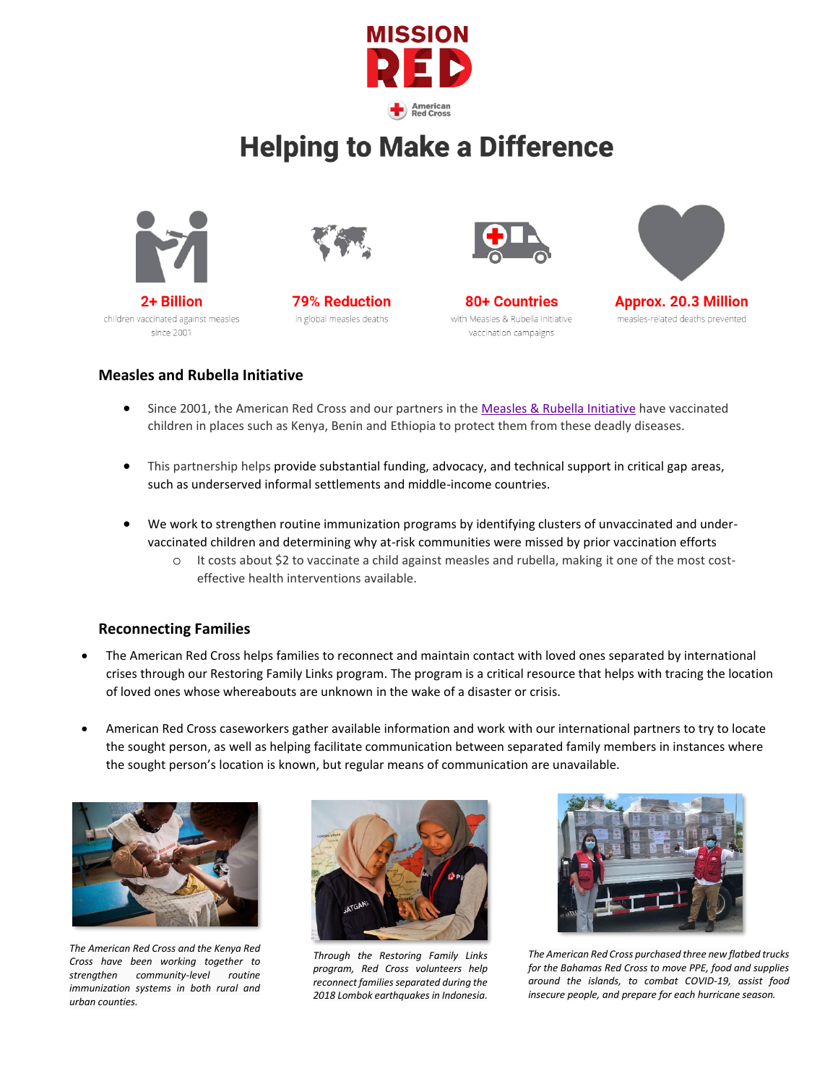

## **Helping to Make a Difference**







**79% Reduction** in global measles deaths



80+ Countries with Measles & Rubella Initiative vaccination campaigns



**Approx. 20.3 Million** measles-related deaths prevented

#### **Measles and Rubella Initiative**

- Since 2001, the American Red Cross and our partners in the [Measles & Rubella Initiative](http://measlesrubellainitiative.org/) have vaccinated children in places such as Kenya, Benin and Ethiopia to protect them from these deadly diseases.
- This partnership helps provide substantial funding, advocacy, and technical support in critical gap areas, such as underserved informal settlements and middle-income countries.
- We work to strengthen routine immunization programs by identifying clusters of unvaccinated and undervaccinated children and determining why at-risk communities were missed by prior vaccination efforts
	- o It costs about \$2 to vaccinate a child against measles and rubella, making it one of the most costeffective health interventions available.

#### **Reconnecting Families**

- The American Red Cross helps families to reconnect and maintain contact with loved ones separated by international crises through our Restoring Family Links program. The program is a critical resource that helps with tracing the location of loved ones whose whereabouts are unknown in the wake of a disaster or crisis.
- American Red Cross caseworkers gather available information and work with our international partners to try to locate the sought person, as well as helping facilitate communication between separated family members in instances where the sought person's location is known, but regular means of communication are unavailable.



*The American Red Cross and the Kenya Red Cross have been working together to strengthen community-level routine immunization systems in both rural and urban counties.*



*Through the Restoring Family Links program, Red Cross volunteers help reconnect families separated during the 2018 Lombok earthquakesin Indonesia.*



*The American Red Cross purchased three new flatbed trucks for the Bahamas Red Cross to move PPE, food and supplies around the islands, to combat COVID-19, assist food insecure people, and prepare for each hurricane season.*